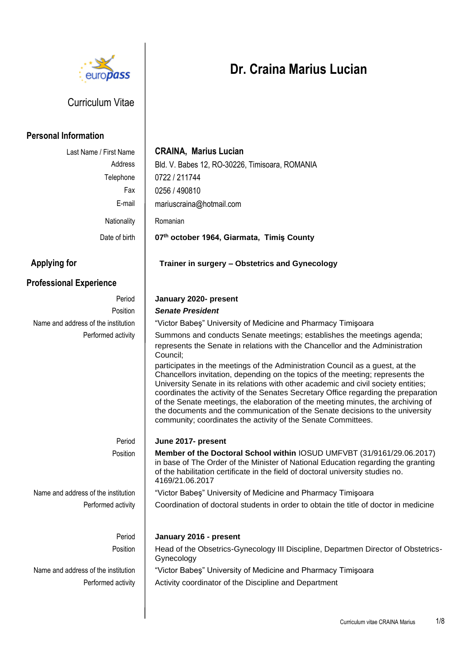

# Curriculum Vitae

## **Personal Information**

# Last Name / First Name **CRAINA, Marius Lucian** Address | Bld. V. Babes 12, RO-30226, Timisoara, ROMANIA Telephone | 0722 / 211744 Fax 0256 / 490810 E-mail mariuscraina@hotmail.com Nationality | Romanian Date of birth **07th october 1964, Giarmata, Timiş County Applying for Trainer in surgery – Obstetrics and Gynecology Professional Experience** Period **January 2020- present** Position *Senate President* Name and address of the institution | "Victor Babes" University of Medicine and Pharmacy Timisoara Performed activity | Summons and conducts Senate meetings; establishes the meetings agenda; represents the Senate in relations with the Chancellor and the Administration Council; participates in the meetings of the Administration Council as a guest, at the Chancellors invitation, depending on the topics of the meeting; represents the University Senate in its relations with other academic and civil society entities; coordinates the activity of the Senates Secretary Office regarding the preparation of the Senate meetings, the elaboration of the meeting minutes, the archiving of the documents and the communication of the Senate decisions to the university community; coordinates the activity of the Senate Committees. Period **June 2017- present** Position **Member of the Doctoral School within** IOSUD UMFVBT (31/9161/29.06.2017) in base of The Order of the Minister of National Education regarding the granting of the habilitation certificate in the field of doctoral university studies no. 4169/21.06.2017 Name and address of the institution | "Victor Babes" University of Medicine and Pharmacy Timisoara Performed activity Period Coordination of doctoral students in order to obtain the title of doctor in medicine **January 2016 - present** Position | Head of the Obsetrics-Gynecology III Discipline, Departmen Director of Obstetrics-Gynecology Name and address of the institution | "Victor Babes" University of Medicine and Pharmacy Timișoara Performed activity | Activity coordinator of the Discipline and Department

# **Dr. Craina Marius Lucian**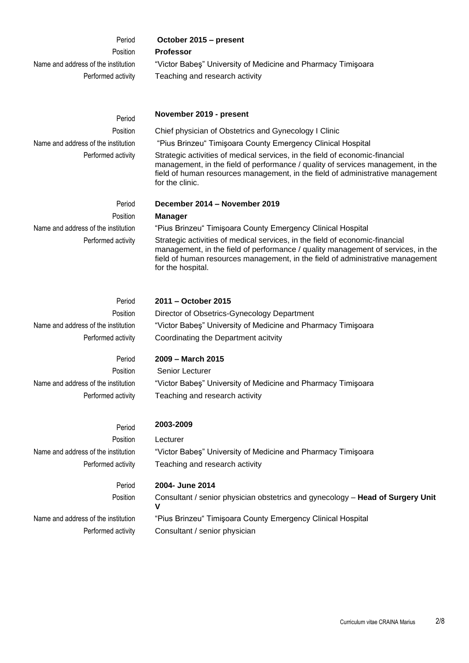| Period                                                                          | October 2015 - present                                                                                                                                                                                                                                                  |
|---------------------------------------------------------------------------------|-------------------------------------------------------------------------------------------------------------------------------------------------------------------------------------------------------------------------------------------------------------------------|
| Position                                                                        | <b>Professor</b>                                                                                                                                                                                                                                                        |
| Name and address of the institution                                             | "Victor Babes" University of Medicine and Pharmacy Timișoara                                                                                                                                                                                                            |
| Performed activity                                                              | Teaching and research activity                                                                                                                                                                                                                                          |
|                                                                                 |                                                                                                                                                                                                                                                                         |
| Period                                                                          | November 2019 - present                                                                                                                                                                                                                                                 |
| Position                                                                        | Chief physician of Obstetrics and Gynecology I Clinic                                                                                                                                                                                                                   |
| Name and address of the institution                                             | "Pius Brinzeu" Timișoara County Emergency Clinical Hospital                                                                                                                                                                                                             |
| Performed activity                                                              | Strategic activities of medical services, in the field of economic-financial<br>management, in the field of performance / quality of services management, in the<br>field of human resources management, in the field of administrative management<br>for the clinic.   |
| Period                                                                          | December 2014 - November 2019                                                                                                                                                                                                                                           |
| Position                                                                        | <b>Manager</b>                                                                                                                                                                                                                                                          |
| Name and address of the institution                                             | "Pius Brinzeu" Timișoara County Emergency Clinical Hospital                                                                                                                                                                                                             |
| Performed activity                                                              | Strategic activities of medical services, in the field of economic-financial<br>management, in the field of performance / quality management of services, in the<br>field of human resources management, in the field of administrative management<br>for the hospital. |
|                                                                                 |                                                                                                                                                                                                                                                                         |
| Period<br>Position<br>Name and address of the institution<br>Performed activity | 2011 – October 2015<br>Director of Obsetrics-Gynecology Department<br>"Victor Babes" University of Medicine and Pharmacy Timisoara<br>Coordinating the Department acitvity                                                                                              |
|                                                                                 |                                                                                                                                                                                                                                                                         |
| Period                                                                          | 2009 - March 2015                                                                                                                                                                                                                                                       |
| Position                                                                        | Senior Lecturer                                                                                                                                                                                                                                                         |
| Name and address of the institution<br>Performed activity                       | "Victor Babeş" University of Medicine and Pharmacy Timişoara<br>Teaching and research activity                                                                                                                                                                          |
|                                                                                 |                                                                                                                                                                                                                                                                         |
| Period                                                                          | 2003-2009                                                                                                                                                                                                                                                               |
| Position                                                                        | Lecturer                                                                                                                                                                                                                                                                |
| Name and address of the institution                                             | "Victor Babes" University of Medicine and Pharmacy Timișoara                                                                                                                                                                                                            |
| Performed activity                                                              | Teaching and research activity                                                                                                                                                                                                                                          |
| Period                                                                          | 2004- June 2014                                                                                                                                                                                                                                                         |
| Position                                                                        | Consultant / senior physician obstetrics and gynecology - Head of Surgery Unit<br>v                                                                                                                                                                                     |
| Name and address of the institution                                             | "Pius Brinzeu" Timişoara County Emergency Clinical Hospital                                                                                                                                                                                                             |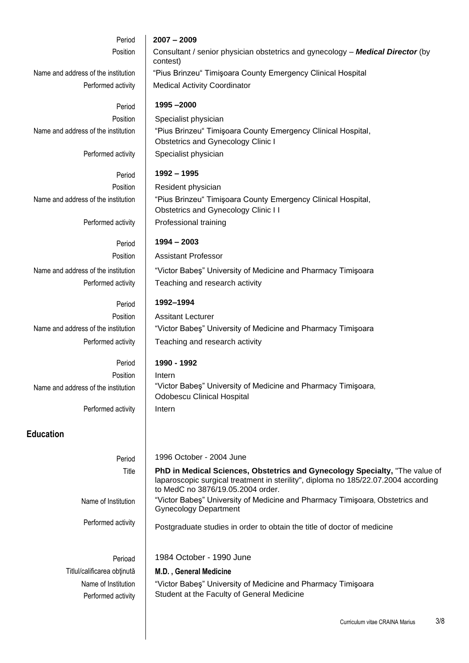| Period                                    | $2007 - 2009$                                                                                                                                                                                          |
|-------------------------------------------|--------------------------------------------------------------------------------------------------------------------------------------------------------------------------------------------------------|
| Position                                  | Consultant / senior physician obstetrics and gynecology - Medical Director (by<br>contest)                                                                                                             |
| Name and address of the institution       | "Pius Brinzeu" Timișoara County Emergency Clinical Hospital                                                                                                                                            |
| Performed activity                        | <b>Medical Activity Coordinator</b>                                                                                                                                                                    |
| Period                                    | 1995-2000                                                                                                                                                                                              |
| Position                                  | Specialist physician                                                                                                                                                                                   |
| Name and address of the institution       | "Pius Brinzeu" Timișoara County Emergency Clinical Hospital,<br>Obstetrics and Gynecology Clinic I                                                                                                     |
| Performed activity                        | Specialist physician                                                                                                                                                                                   |
| Period                                    | 1992 - 1995                                                                                                                                                                                            |
| Position                                  | Resident physician                                                                                                                                                                                     |
| Name and address of the institution       | "Pius Brinzeu" Timișoara County Emergency Clinical Hospital,<br><b>Obstetrics and Gynecology Clinic I I</b>                                                                                            |
| Performed activity                        | Professional training                                                                                                                                                                                  |
| Period                                    | $1994 - 2003$                                                                                                                                                                                          |
| Position                                  | <b>Assistant Professor</b>                                                                                                                                                                             |
| Name and address of the institution       | "Victor Babes" University of Medicine and Pharmacy Timișoara                                                                                                                                           |
| Performed activity                        | Teaching and research activity                                                                                                                                                                         |
| Period                                    | 1992-1994                                                                                                                                                                                              |
| Position                                  | <b>Assitant Lecturer</b>                                                                                                                                                                               |
| Name and address of the institution       | "Victor Babes" University of Medicine and Pharmacy Timișoara                                                                                                                                           |
| Performed activity                        | Teaching and research activity                                                                                                                                                                         |
| Period                                    | 1990 - 1992                                                                                                                                                                                            |
| Position                                  | Intern                                                                                                                                                                                                 |
| Name and address of the institution       | "Victor Babes" University of Medicine and Pharmacy Timisoara,<br><b>Odobescu Clinical Hospital</b>                                                                                                     |
| Performed activity                        | Intern                                                                                                                                                                                                 |
| <b>Education</b>                          |                                                                                                                                                                                                        |
| Period                                    | 1996 October - 2004 June                                                                                                                                                                               |
| Title                                     | PhD in Medical Sciences, Obstetrics and Gynecology Specialty, "The value of<br>laparoscopic surgical treatment in sterility", diploma no 185/22.07.2004 according<br>to MedC no 3876/19.05.2004 order. |
| Name of Institution                       | "Victor Babes" University of Medicine and Pharmacy Timisoara, Obstetrics and<br><b>Gynecology Department</b>                                                                                           |
| Performed activity                        | Postgraduate studies in order to obtain the title of doctor of medicine                                                                                                                                |
|                                           | 1984 October - 1990 June                                                                                                                                                                               |
| Perioad<br>Titlul/calificarea obținută    |                                                                                                                                                                                                        |
|                                           | M.D., General Medicine                                                                                                                                                                                 |
| Name of Institution<br>Performed activity | "Victor Babes" University of Medicine and Pharmacy Timișoara<br>Student at the Faculty of General Medicine                                                                                             |
|                                           | 215                                                                                                                                                                                                    |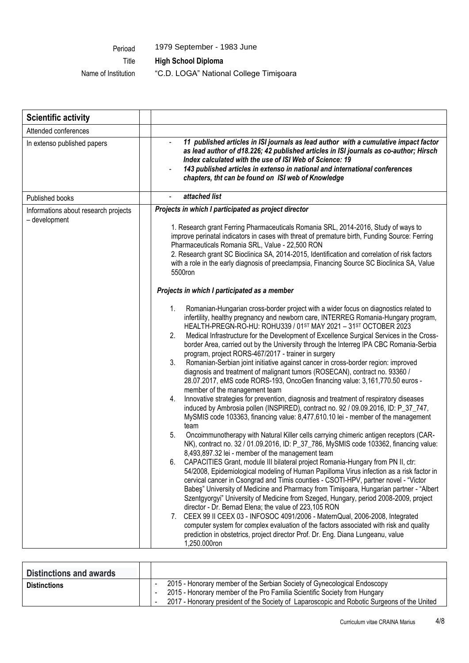Perioad 1979 September - 1983 June

.

Title **High School Diploma**

Name of Institution "C.D. LOGA" National College Timişoara

| <b>Scientific activity</b>                            |                                                                                                                                                                                                                                                                                                                                                                                                                                                                                                                                                                                                                                                                                                                                                                                                                                                                                                                                                                                                                                                                                                                                                                                                                                                                                                                                                                                                                                                                                                                                                                                                                                                                                                                                                                                                                                                                                                                                                                                                                                                                                                                                     |
|-------------------------------------------------------|-------------------------------------------------------------------------------------------------------------------------------------------------------------------------------------------------------------------------------------------------------------------------------------------------------------------------------------------------------------------------------------------------------------------------------------------------------------------------------------------------------------------------------------------------------------------------------------------------------------------------------------------------------------------------------------------------------------------------------------------------------------------------------------------------------------------------------------------------------------------------------------------------------------------------------------------------------------------------------------------------------------------------------------------------------------------------------------------------------------------------------------------------------------------------------------------------------------------------------------------------------------------------------------------------------------------------------------------------------------------------------------------------------------------------------------------------------------------------------------------------------------------------------------------------------------------------------------------------------------------------------------------------------------------------------------------------------------------------------------------------------------------------------------------------------------------------------------------------------------------------------------------------------------------------------------------------------------------------------------------------------------------------------------------------------------------------------------------------------------------------------------|
| Attended conferences                                  |                                                                                                                                                                                                                                                                                                                                                                                                                                                                                                                                                                                                                                                                                                                                                                                                                                                                                                                                                                                                                                                                                                                                                                                                                                                                                                                                                                                                                                                                                                                                                                                                                                                                                                                                                                                                                                                                                                                                                                                                                                                                                                                                     |
| In extenso published papers                           | 11 published articles in ISI journals as lead author with a cumulative impact factor<br>as lead author of d18.226; 42 published articles in ISI journals as co-author; Hirsch<br>Index calculated with the use of ISI Web of Science: 19<br>143 published articles in extenso in national and international conferences<br>chapters, tht can be found on ISI web of Knowledge                                                                                                                                                                                                                                                                                                                                                                                                                                                                                                                                                                                                                                                                                                                                                                                                                                                                                                                                                                                                                                                                                                                                                                                                                                                                                                                                                                                                                                                                                                                                                                                                                                                                                                                                                       |
| Published books                                       | attached list                                                                                                                                                                                                                                                                                                                                                                                                                                                                                                                                                                                                                                                                                                                                                                                                                                                                                                                                                                                                                                                                                                                                                                                                                                                                                                                                                                                                                                                                                                                                                                                                                                                                                                                                                                                                                                                                                                                                                                                                                                                                                                                       |
| Informations about research projects<br>- development | Projects in which I participated as project director<br>1. Research grant Ferring Pharmaceuticals Romania SRL, 2014-2016, Study of ways to<br>improve perinatal indicators in cases with threat of premature birth, Funding Source: Ferring<br>Pharmaceuticals Romania SRL, Value - 22,500 RON<br>2. Research grant SC Bioclinica SA, 2014-2015, Identification and correlation of risk factors<br>with a role in the early diagnosis of preeclampsia, Financing Source SC Bioclinica SA, Value<br>5500ron                                                                                                                                                                                                                                                                                                                                                                                                                                                                                                                                                                                                                                                                                                                                                                                                                                                                                                                                                                                                                                                                                                                                                                                                                                                                                                                                                                                                                                                                                                                                                                                                                          |
|                                                       | Projects in which I participated as a member                                                                                                                                                                                                                                                                                                                                                                                                                                                                                                                                                                                                                                                                                                                                                                                                                                                                                                                                                                                                                                                                                                                                                                                                                                                                                                                                                                                                                                                                                                                                                                                                                                                                                                                                                                                                                                                                                                                                                                                                                                                                                        |
|                                                       | Romanian-Hungarian cross-border project with a wider focus on diagnostics related to<br>1.<br>infertility, healthy pregnancy and newborn care, INTERREG Romania-Hungary program,<br>HEALTH-PREGN-RO-HU: ROHU339 / 01ST MAY 2021 - 31ST OCTOBER 2023<br>Medical Infrastructure for the Development of Excellence Surgical Services in the Cross-<br>2.<br>border Area, carried out by the University through the Interreg IPA CBC Romania-Serbia<br>program, project RORS-467/2017 - trainer in surgery<br>3.<br>Romanian-Serbian joint initiative against cancer in cross-border region: improved<br>diagnosis and treatment of malignant tumors (ROSECAN), contract no. 93360 /<br>28.07.2017, eMS code RORS-193, OncoGen financing value: 3,161,770.50 euros -<br>member of the management team<br>Innovative strategies for prevention, diagnosis and treatment of respiratory diseases<br>4.<br>induced by Ambrosia pollen (INSPIRED), contract no. 92 / 09.09.2016, ID: P_37_747,<br>MySMIS code 103363, financing value: 8,477,610.10 lei - member of the management<br>team<br>Oncoimmunotherapy with Natural Killer cells carrying chimeric antigen receptors (CAR-<br>5.<br>NK), contract no. 32 / 01.09.2016, ID: P_37_786, MySMIS code 103362, financing value:<br>8,493,897.32 lei - member of the management team<br>6.<br>CAPACITIES Grant, module III bilateral project Romania-Hungary from PN II, ctr:<br>54/2008, Epidemiological modeling of Human Papilloma Virus infection as a risk factor in<br>cervical cancer in Csongrad and Timis counties - CSOTI-HPV, partner novel - "Victor<br>Babes" University of Medicine and Pharmacy from Timișoara, Hungarian partner - "Albert<br>Szentgyorgyi" University of Medicine from Szeged, Hungary, period 2008-2009, project<br>director - Dr. Bernad Elena; the value of 223,105 RON<br>7. CEEX 99 II CEEX 03 - INFOSOC 4091/2006 - MaternQual, 2006-2008, Integrated<br>computer system for complex evaluation of the factors associated with risk and quality<br>prediction in obstetrics, project director Prof. Dr. Eng. Diana Lungeanu, value<br>1,250.000ron |

| <b>Distinctions and awards</b> |                                                                                             |  |
|--------------------------------|---------------------------------------------------------------------------------------------|--|
| <b>Distinctions</b>            | 2015 - Honorary member of the Serbian Society of Gynecological Endoscopy                    |  |
|                                | 2015 - Honorary member of the Pro Familia Scientific Society from Hungary                   |  |
|                                | 2017 - Honorary president of the Society of Laparoscopic and Robotic Surgeons of the United |  |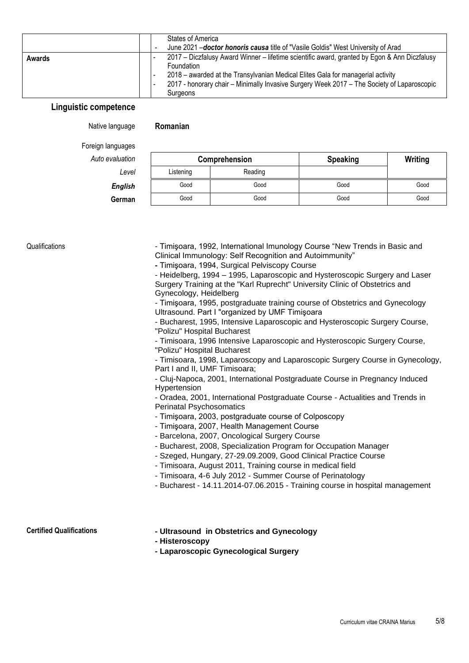|        |  | States of America<br>June 2021 - <i>doctor honoris causa</i> title of "Vasile Goldis" West University of Arad                                                                                                                                                                                                  |
|--------|--|----------------------------------------------------------------------------------------------------------------------------------------------------------------------------------------------------------------------------------------------------------------------------------------------------------------|
| Awards |  | 2017 – Diczfalusy Award Winner – lifetime scientific award, granted by Egon & Ann Diczfalusy<br><b>Foundation</b><br>2018 – awarded at the Transylvanian Medical Elites Gala for managerial activity<br>2017 - honorary chair - Minimally Invasive Surgery Week 2017 - The Society of Laparoscopic<br>Surgeons |

### **Linguistic competence**

#### Native language **Romanian**

Foreign languages

| Auto evaluation |           | Comprehension | <b>Speaking</b> | Writing |
|-----------------|-----------|---------------|-----------------|---------|
| Level           | Listening | Reading       |                 |         |
| <b>English</b>  | Good      | Good          | Good            | Good    |
| German          | Good      | Good          | Good            | Good    |

Qualifications **- Timisoara, 1992, International Imunology Course "New Trends in Basic and** Clinical Immunology: Self Recognition and Autoimmunity"

**-** Timişoara, 1994, Surgical Pelviscopy Course

- Heidelberg, 1994 – 1995, Laparoscopic and Hysteroscopic Surgery and Laser Surgery Training at the "Karl Ruprecht" University Clinic of Obstetrics and Gynecology, Heidelberg

- Timişoara, 1995, postgraduate training course of Obstetrics and Gynecology Ultrasound. Part I "organized by UMF Timişoara

- Bucharest, 1995, Intensive Laparoscopic and Hysteroscopic Surgery Course, "Polizu" Hospital Bucharest

- Timisoara, 1996 Intensive Laparoscopic and Hysteroscopic Surgery Course, "Polizu" Hospital Bucharest

- Timisoara, 1998, Laparoscopy and Laparoscopic Surgery Course in Gynecology, Part I and II, UMF Timisoara;

- Cluj-Napoca, 2001, International Postgraduate Course in Pregnancy Induced Hypertension

- Oradea, 2001, International Postgraduate Course - Actualities and Trends in Perinatal Psychosomatics

- Timişoara, 2003, postgraduate course of Colposcopy

- Timişoara, 2007, Health Management Course

- Barcelona, 2007, Oncological Surgery Course

- Bucharest, 2008, Specialization Program for Occupation Manager

- Szeged, Hungary, 27-29.09.2009, Good Clinical Practice Course

- Timisoara, August 2011, Training course in medical field

- Timisoara, 4-6 July 2012 - Summer Course of Perinatology

- Bucharest - 14.11.2014-07.06.2015 - Training course in hospital management

# **Certified Qualifications - Ultrasound in Obstetrics and Gynecology**

**- Histeroscopy**

**- Laparoscopic Gynecological Surgery**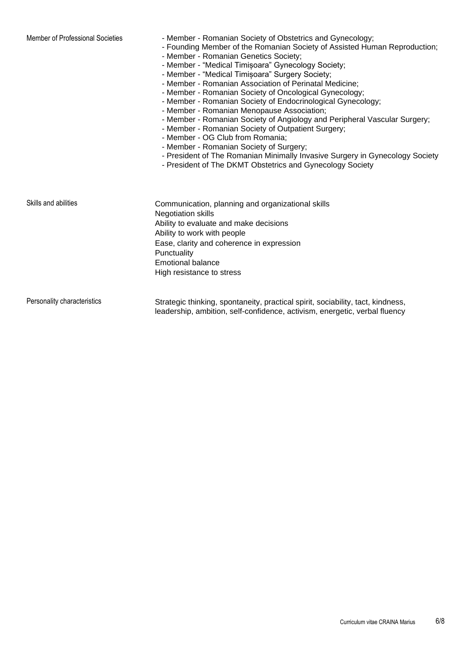- Member of Professional Societies Member Romanian Society of Obstetrics and Gynecology;
	- Founding Member of the Romanian Society of Assisted Human Reproduction;
	- Member Romanian Genetics Society;
	- Member "Medical Timișoara" Gynecology Society;
	- Member "Medical Timișoara" Surgery Society;
	- Member Romanian Association of Perinatal Medicine;
	- Member Romanian Society of Oncological Gynecology;
	- Member Romanian Society of Endocrinological Gynecology;
	- Member Romanian Menopause Association;
	- Member Romanian Society of Angiology and Peripheral Vascular Surgery;
	- Member Romanian Society of Outpatient Surgery;
	- Member OG Club from Romania;
	- Member Romanian Society of Surgery;
	- President of The Romanian Minimally Invasive Surgery in Gynecology Society
	- President of The DKMT Obstetrics and Gynecology Society

| Skills and abilities | Communication, planning and organizational skills |
|----------------------|---------------------------------------------------|
|                      | <b>Negotiation skills</b>                         |
|                      | Ability to evaluate and make decisions            |
|                      | Ability to work with people                       |
|                      | Ease, clarity and coherence in expression         |
|                      | Punctuality                                       |
|                      | <b>Emotional balance</b>                          |
|                      | High resistance to stress                         |
|                      |                                                   |
|                      |                                                   |

Personality characteristics Strategic thinking, spontaneity, practical spirit, sociability, tact, kindness, leadership, ambition, self-confidence, activism, energetic, verbal fluency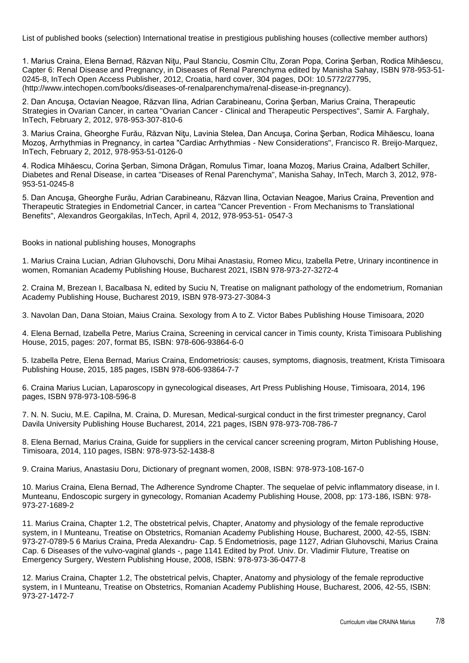List of published books (selection) International treatise in prestigious publishing houses (collective member authors)

1. Marius Craina, Elena Bernad, Răzvan Niţu, Paul Stanciu, Cosmin Cîtu, Zoran Popa, Corina Şerban, Rodica Mihăescu, Capter 6: Renal Disease and Pregnancy, in Diseases of Renal Parenchyma edited by Manisha Sahay, ISBN 978-953-51- 0245-8, InTech Open Access Publisher, 2012, Croatia, hard cover, 304 pages, DOI: 10.5772/27795, (http://www.intechopen.com/books/diseases-of-renalparenchyma/renal-disease-in-pregnancy).

2. Dan Ancuşa, Octavian Neagoe, Răzvan Ilina, Adrian Carabineanu, Corina Şerban, Marius Craina, Therapeutic Strategies in Ovarian Cancer, in cartea "Ovarian Cancer - Clinical and Therapeutic Perspectives", Samir A. Farghaly, InTech, February 2, 2012, 978-953-307-810-6

3. Marius Craina, Gheorghe Furău, Răzvan Niţu, Lavinia Stelea, Dan Ancuşa, Corina Şerban, Rodica Mihăescu, Ioana Mozoş, Arrhythmias in Pregnancy, in cartea "Cardiac Arrhythmias - New Considerations", Francisco R. Breijo-Marquez, InTech, February 2, 2012, 978-953-51-0126-0

4. Rodica Mihăescu, Corina Şerban, Simona Drăgan, Romulus Timar, Ioana Mozoş, Marius Craina, Adalbert Schiller, Diabetes and Renal Disease, in cartea "Diseases of Renal Parenchyma", Manisha Sahay, InTech, March 3, 2012, 978- 953-51-0245-8

5. Dan Ancuşa, Gheorghe Furău, Adrian Carabineanu, Răzvan Ilina, Octavian Neagoe, Marius Craina, Prevention and Therapeutic Strategies in Endometrial Cancer, in cartea "Cancer Prevention - From Mechanisms to Translational Benefits", Alexandros Georgakilas, InTech, April 4, 2012, 978-953-51- 0547-3

Books in national publishing houses, Monographs

1. Marius Craina Lucian, Adrian Gluhovschi, Doru Mihai Anastasiu, Romeo Micu, Izabella Petre, Urinary incontinence in women, Romanian Academy Publishing House, Bucharest 2021, ISBN 978-973-27-3272-4

2. Craina M, Brezean I, Bacalbasa N, edited by Suciu N, Treatise on malignant pathology of the endometrium, Romanian Academy Publishing House, Bucharest 2019, ISBN 978-973-27-3084-3

3. Navolan Dan, Dana Stoian, Maius Craina. Sexology from A to Z. Victor Babes Publishing House Timisoara, 2020

4. Elena Bernad, Izabella Petre, Marius Craina, Screening in cervical cancer in Timis county, Krista Timisoara Publishing House, 2015, pages: 207, format B5, ISBN: 978-606-93864-6-0

5. Izabella Petre, Elena Bernad, Marius Craina, Endometriosis: causes, symptoms, diagnosis, treatment, Krista Timisoara Publishing House, 2015, 185 pages, ISBN 978-606-93864-7-7

6. Craina Marius Lucian, Laparoscopy in gynecological diseases, Art Press Publishing House, Timisoara, 2014, 196 pages, ISBN 978-973-108-596-8

7. N. N. Suciu, M.E. Capilna, M. Craina, D. Muresan, Medical-surgical conduct in the first trimester pregnancy, Carol Davila University Publishing House Bucharest, 2014, 221 pages, ISBN 978-973-708-786-7

8. Elena Bernad, Marius Craina, Guide for suppliers in the cervical cancer screening program, Mirton Publishing House, Timisoara, 2014, 110 pages, ISBN: 978-973-52-1438-8

9. Craina Marius, Anastasiu Doru, Dictionary of pregnant women, 2008, ISBN: 978-973-108-167-0

10. Marius Craina, Elena Bernad, The Adherence Syndrome Chapter. The sequelae of pelvic inflammatory disease, in I. Munteanu, Endoscopic surgery in gynecology, Romanian Academy Publishing House, 2008, pp: 173-186, ISBN: 978- 973-27-1689-2

11. Marius Craina, Chapter 1.2, The obstetrical pelvis, Chapter, Anatomy and physiology of the female reproductive system, in I Munteanu, Treatise on Obstetrics, Romanian Academy Publishing House, Bucharest, 2000, 42-55, ISBN: 973-27-0789-5 6 Marius Craina, Preda Alexandru- Cap. 5 Endometriosis, page 1127, Adrian Gluhovschi, Marius Craina Cap. 6 Diseases of the vulvo-vaginal glands -, page 1141 Edited by Prof. Univ. Dr. Vladimir Fluture, Treatise on Emergency Surgery, Western Publishing House, 2008, ISBN: 978-973-36-0477-8

12. Marius Craina, Chapter 1.2, The obstetrical pelvis, Chapter, Anatomy and physiology of the female reproductive system, in I Munteanu, Treatise on Obstetrics, Romanian Academy Publishing House, Bucharest, 2006, 42-55, ISBN: 973-27-1472-7